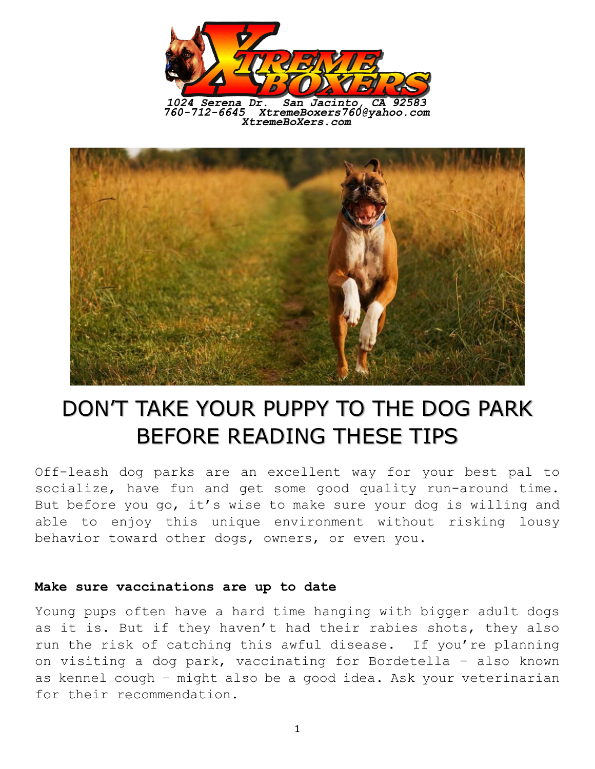

1024 Serena Dr. San Jacinto, CA 92583<br>760-712-6645 XtremeBoxers760@yahoo.com XtremeBoXers.com



# DON'T TAKE YOUR PUPPY TO THE DOG PARK BEFORE READING THESE TIPS

Off-leash dog parks are an excellent way for your best pal to socialize, have fun and get some good quality run-around time. But before you go, it's wise to make sure your dog is willing and able to enjoy this unique environment without risking lousy behavior toward other dogs, owners, or even you.

#### **Make sure vaccinations are up to date**

Young pups often have a hard time hanging with bigger adult dogs as it is. But if they haven't had their rabies shots, they also run the risk of catching this awful disease. If you're planning on visiting a dog park, vaccinating for Bordetella – also known as kennel cough – might also be a good idea. Ask your veterinarian for their recommendation.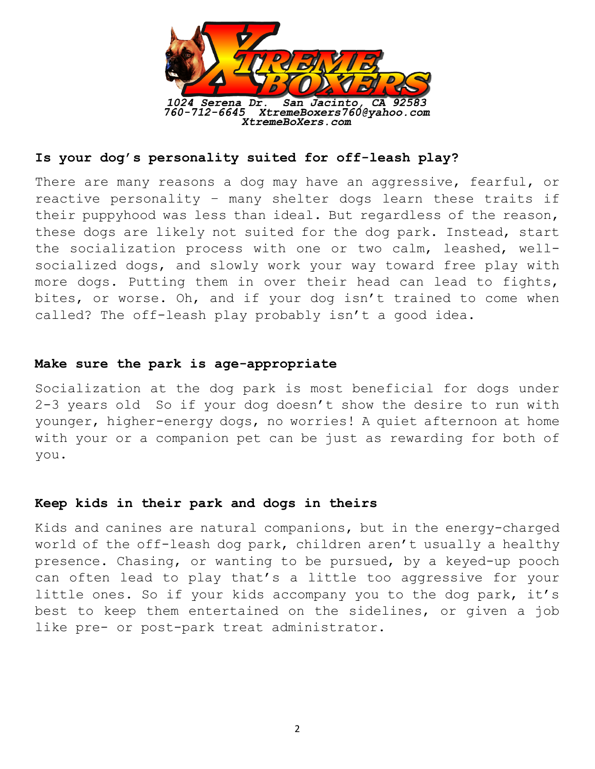

## **Is your dog's personality suited for off-leash play?**

There are many reasons a dog may have an aggressive, fearful, or reactive personality – many shelter dogs learn these traits if their puppyhood was less than ideal. But regardless of the reason, these dogs are likely not suited for the dog park. Instead, start the socialization process with one or two calm, leashed, wellsocialized dogs, and slowly work your way toward free play with more dogs. Putting them in over their head can lead to fights, bites, or worse. Oh, and if your dog isn't trained to come when called? The off-leash play probably isn't a good idea.

#### **Make sure the park is age-appropriate**

Socialization at the dog park is most beneficial for dogs under 2-3 years old So if your dog doesn't show the desire to run with younger, higher-energy dogs, no worries! A quiet afternoon at home with your or a companion pet can be just as rewarding for both of you.

#### **Keep kids in their park and dogs in theirs**

Kids and canines are natural companions, but in the energy-charged world of the off-leash dog park, children aren't usually a healthy presence. Chasing, or wanting to be pursued, by a keyed-up pooch can often lead to play that's a little too aggressive for your little ones. So if your kids accompany you to the dog park, it's best to keep them entertained on the sidelines, or given a job like pre- or post-park treat administrator.